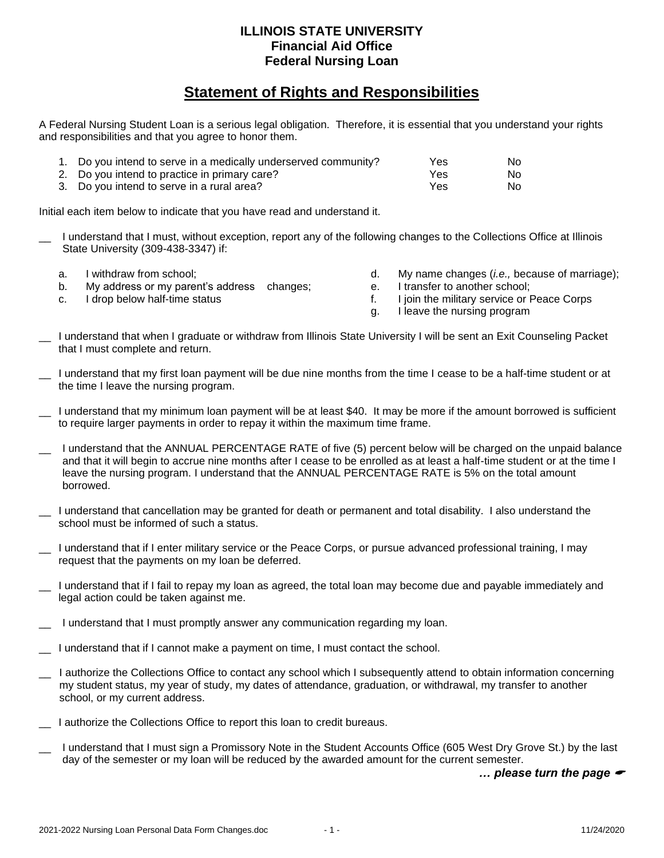## **ILLINOIS STATE UNIVERSITY Financial Aid Office Federal Nursing Loan**

## **Statement of Rights and Responsibilities**

A Federal Nursing Student Loan is a serious legal obligation. Therefore, it is essential that you understand your rights and responsibilities and that you agree to honor them.

| 1. Do you intend to serve in a medically underserved community? | Yes        | No. |
|-----------------------------------------------------------------|------------|-----|
| 2. Do you intend to practice in primary care?                   | <b>Yes</b> | No. |
| 3. Do you intend to serve in a rural area?                      | <b>Yes</b> | No. |

Initial each item below to indicate that you have read and understand it.

- I understand that I must, without exception, report any of the following changes to the Collections Office at Illinois State University (309-438-3347) if:
	- a. I withdraw from school;
	- b. My address or my parent's address changes;
	- c. I drop below half-time status
- d. My name changes (*i.e.,* because of marriage);
- e. I transfer to another school;
- f. I join the military service or Peace Corps
- g. I leave the nursing program
- \_\_ I understand that when I graduate or withdraw from Illinois State University I will be sent an Exit Counseling Packet that I must complete and return.
- I understand that my first loan payment will be due nine months from the time I cease to be a half-time student or at the time I leave the nursing program.
- I understand that my minimum loan payment will be at least \$40. It may be more if the amount borrowed is sufficient to require larger payments in order to repay it within the maximum time frame.
- \_\_ I understand that the ANNUAL PERCENTAGE RATE of five (5) percent below will be charged on the unpaid balance and that it will begin to accrue nine months after I cease to be enrolled as at least a half-time student or at the time I leave the nursing program. I understand that the ANNUAL PERCENTAGE RATE is 5% on the total amount borrowed.
- \_\_ I understand that cancellation may be granted for death or permanent and total disability. I also understand the school must be informed of such a status.
- I understand that if I enter military service or the Peace Corps, or pursue advanced professional training, I may request that the payments on my loan be deferred.
- I understand that if I fail to repay my loan as agreed, the total loan may become due and payable immediately and legal action could be taken against me.
- I understand that I must promptly answer any communication regarding my loan.
- I understand that if I cannot make a payment on time, I must contact the school.
- \_\_ I authorize the Collections Office to contact any school which I subsequently attend to obtain information concerning my student status, my year of study, my dates of attendance, graduation, or withdrawal, my transfer to another school, or my current address.
- I authorize the Collections Office to report this loan to credit bureaus.
- I understand that I must sign a Promissory Note in the Student Accounts Office (605 West Dry Grove St.) by the last day of the semester or my loan will be reduced by the awarded amount for the current semester.

*… please turn the page*